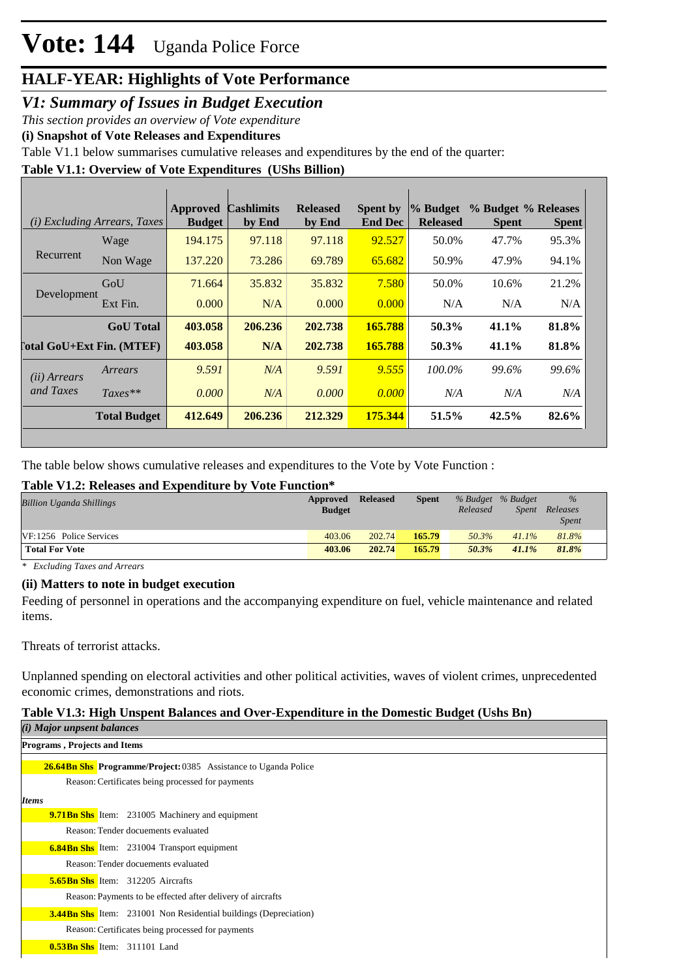### *V1: Summary of Issues in Budget Execution*

*This section provides an overview of Vote expenditure* 

**(i) Snapshot of Vote Releases and Expenditures**

Table V1.1 below summarises cumulative releases and expenditures by the end of the quarter:

#### **Table V1.1: Overview of Vote Expenditures (UShs Billion)**

|                            | (i) Excluding Arrears, Taxes | Approved<br><b>Budget</b> | <b>Cashlimits</b><br>by End | <b>Released</b><br>by End | Spent by<br><b>End Dec</b> | % Budget<br><b>Released</b> | <b>Spent</b> | % Budget % Releases<br><b>Spent</b> |
|----------------------------|------------------------------|---------------------------|-----------------------------|---------------------------|----------------------------|-----------------------------|--------------|-------------------------------------|
|                            | Wage                         | 194.175                   | 97.118                      | 97.118                    | 92.527                     | 50.0%                       | 47.7%        | 95.3%                               |
| Recurrent                  | Non Wage                     | 137.220                   | 73.286                      | 69.789                    | 65.682                     | 50.9%                       | 47.9%        | 94.1%                               |
| Development                | GoU                          | 71.664                    | 35.832                      | 35.832                    | 7.580                      | 50.0%                       | 10.6%        | 21.2%                               |
|                            | Ext Fin.                     | 0.000                     | N/A                         | 0.000                     | 0.000                      | N/A                         | N/A          | N/A                                 |
|                            | <b>GoU</b> Total             | 403.058                   | 206.236                     | 202.738                   | 165.788                    | 50.3%                       | 41.1%        | 81.8%                               |
| [`otal GoU+Ext Fin. (MTEF) |                              | 403.058                   | N/A                         | 202.738                   | 165.788                    | 50.3%                       | 41.1%        | 81.8%                               |
| (ii) Arrears               | Arrears                      | 9.591                     | N/A                         | 9.591                     | 9.555                      | 100.0%                      | 99.6%        | 99.6%                               |
| and Taxes                  | $Taxes**$                    | 0.000                     | N/A                         | 0.000                     | 0.000                      | N/A                         | N/A          | N/A                                 |
|                            | <b>Total Budget</b>          | 412.649                   | 206.236                     | 212.329                   | 175.344                    | 51.5%                       | 42.5%        | 82.6%                               |

The table below shows cumulative releases and expenditures to the Vote by Vote Function :

#### **Table V1.2: Releases and Expenditure by Vote Function\***

| <b>Billion Uganda Shillings</b> | Approved      | <b>Released</b> | <b>Spent</b> |          | % Budget % Budget | $\frac{9}{6}$ |  |
|---------------------------------|---------------|-----------------|--------------|----------|-------------------|---------------|--|
|                                 | <b>Budget</b> |                 |              | Released | Spent             | Releases      |  |
|                                 |               |                 |              |          |                   | <b>Spent</b>  |  |
| VF:1256 Police Services         | 403.06        | 202.74          | 165.79       | 50.3%    | 41.1%             | 81.8%         |  |
| <b>Total For Vote</b>           | 403.06        | 202.74          | 165.79       | 50.3%    | 41.1%             | 81.8%         |  |
|                                 |               |                 |              |          |                   |               |  |

*\* Excluding Taxes and Arrears*

#### **(ii) Matters to note in budget execution**

Feeding of personnel in operations and the accompanying expenditure on fuel, vehicle maintenance and related items.

Threats of terrorist attacks.

Unplanned spending on electoral activities and other political activities, waves of violent crimes, unprecedented economic crimes, demonstrations and riots.

#### **Table V1.3: High Unspent Balances and Over-Expenditure in the Domestic Budget (Ushs Bn)**

| (i) Major unpsent balances                                              |  |  |  |  |  |  |  |
|-------------------------------------------------------------------------|--|--|--|--|--|--|--|
| <b>Programs, Projects and Items</b>                                     |  |  |  |  |  |  |  |
| <b>26.64Bn Shs Programme/Project: 0385</b> Assistance to Uganda Police  |  |  |  |  |  |  |  |
| Reason: Certificates being processed for payments                       |  |  |  |  |  |  |  |
| <i>Items</i>                                                            |  |  |  |  |  |  |  |
| <b>9.71 Bn Shs</b> Item: 231005 Machinery and equipment                 |  |  |  |  |  |  |  |
| Reason: Tender docuements evaluated                                     |  |  |  |  |  |  |  |
| <b>6.84Bn Shs</b> Item: 231004 Transport equipment                      |  |  |  |  |  |  |  |
| Reason: Tender docuements evaluated                                     |  |  |  |  |  |  |  |
| <b>5.65Bn Shs</b> Item: 312205 Aircrafts                                |  |  |  |  |  |  |  |
| Reason: Payments to be effected after delivery of aircrafts             |  |  |  |  |  |  |  |
| <b>3.44Bn Shs</b> Item: 231001 Non Residential buildings (Depreciation) |  |  |  |  |  |  |  |
| Reason: Certificates being processed for payments                       |  |  |  |  |  |  |  |
| <b>0.53Bn Shs</b> Item: 311101 Land                                     |  |  |  |  |  |  |  |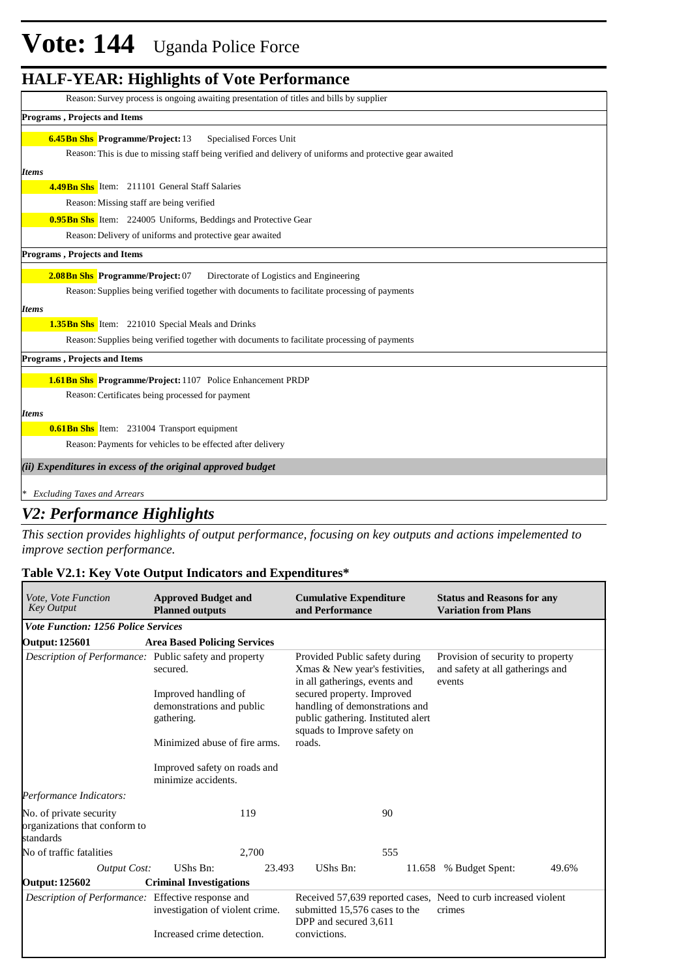# **Vote: 144** Uganda Police Force

### **HALF-YEAR: Highlights of Vote Performance**

| Reason: Survey process is ongoing awaiting presentation of titles and bills by supplier                  |
|----------------------------------------------------------------------------------------------------------|
| Programs, Projects and Items                                                                             |
| <b>6.45Bn Shs</b> Programme/Project: 13<br>Specialised Forces Unit                                       |
| Reason: This is due to missing staff being verified and delivery of uniforms and protective gear awaited |
| <b>Items</b>                                                                                             |
| <b>4.49Bn Shs</b> Item: 211101 General Staff Salaries                                                    |
| Reason: Missing staff are being verified                                                                 |
| <b>0.95 Bn Shs</b> Item: 224005 Uniforms, Beddings and Protective Gear                                   |
| Reason: Delivery of uniforms and protective gear awaited                                                 |
| <b>Programs, Projects and Items</b>                                                                      |
| 2.08Bn Shs Programme/Project: 07<br>Directorate of Logistics and Engineering                             |
| Reason: Supplies being verified together with documents to facilitate processing of payments             |
| <b>Items</b>                                                                                             |
| <b>1.35Bn Shs</b> Item: 221010 Special Meals and Drinks                                                  |
| Reason: Supplies being verified together with documents to facilitate processing of payments             |
| Programs, Projects and Items                                                                             |
| 1.61 Bn Shs Programme/Project: 1107 Police Enhancement PRDP                                              |
| Reason: Certificates being processed for payment                                                         |
| <b>Items</b>                                                                                             |
| <b>0.61Bn Shs</b> Item: 231004 Transport equipment                                                       |
| Reason: Payments for vehicles to be effected after delivery                                              |
| (ii) Expenditures in excess of the original approved budget                                              |
| <b>Excluding Taxes and Arrears</b>                                                                       |

### *V2: Performance Highlights*

*This section provides highlights of output performance, focusing on key outputs and actions impelemented to improve section performance.*

#### **Table V2.1: Key Vote Output Indicators and Expenditures\***

| <i>Vote. Vote Function</i><br><b>Key Output</b>                       | <b>Approved Budget and</b><br><b>Planned outputs</b>            | <b>Cumulative Expenditure</b><br>and Performance                                                                                  | <b>Status and Reasons for any</b><br><b>Variation from Plans</b>      |  |  |
|-----------------------------------------------------------------------|-----------------------------------------------------------------|-----------------------------------------------------------------------------------------------------------------------------------|-----------------------------------------------------------------------|--|--|
| <b>Vote Function: 1256 Police Services</b>                            |                                                                 |                                                                                                                                   |                                                                       |  |  |
| <b>Output: 125601</b>                                                 | <b>Area Based Policing Services</b>                             |                                                                                                                                   |                                                                       |  |  |
| Description of Performance: Public safety and property                | secured.                                                        | Provided Public safety during<br>Xmas & New year's festivities,<br>in all gatherings, events and                                  | Provision of security to property<br>and safety at all gatherings and |  |  |
|                                                                       | Improved handling of<br>demonstrations and public<br>gathering. | secured property. Improved<br>handling of demonstrations and<br>public gathering. Instituted alert<br>squads to Improve safety on | events                                                                |  |  |
|                                                                       | Minimized abuse of fire arms.                                   | roads.                                                                                                                            |                                                                       |  |  |
|                                                                       | Improved safety on roads and<br>minimize accidents.             |                                                                                                                                   |                                                                       |  |  |
| Performance Indicators:                                               |                                                                 |                                                                                                                                   |                                                                       |  |  |
| No. of private security<br>organizations that conform to<br>standards | 119                                                             | 90                                                                                                                                |                                                                       |  |  |
| No of traffic fatalities                                              | 2,700                                                           | 555                                                                                                                               |                                                                       |  |  |
| <b>Output Cost:</b>                                                   | UShs Bn:<br>23.493                                              | UShs Bn:<br>11.658                                                                                                                | % Budget Spent:<br>49.6%                                              |  |  |
| <b>Output: 125602</b>                                                 | <b>Criminal Investigations</b>                                  |                                                                                                                                   |                                                                       |  |  |
| Description of Performance: Effective response and                    | investigation of violent crime.                                 | Received 57,639 reported cases, Need to curb increased violent<br>submitted 15,576 cases to the<br>DPP and secured 3,611          | crimes                                                                |  |  |
|                                                                       | Increased crime detection.                                      | convictions.                                                                                                                      |                                                                       |  |  |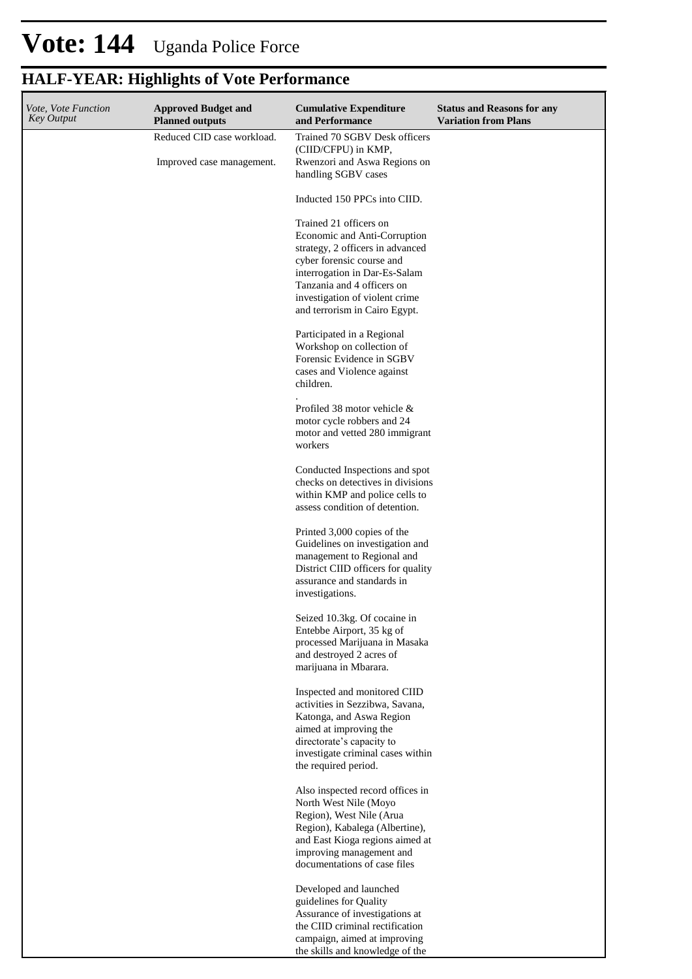| Vote, Vote Function<br>Key Output | <b>Approved Budget and</b><br><b>Planned outputs</b>    | <b>Cumulative Expenditure</b><br>and Performance                                                                                                                                                                                                          | <b>Status and Reasons for any</b><br><b>Variation from Plans</b> |
|-----------------------------------|---------------------------------------------------------|-----------------------------------------------------------------------------------------------------------------------------------------------------------------------------------------------------------------------------------------------------------|------------------------------------------------------------------|
|                                   | Reduced CID case workload.<br>Improved case management. | Trained 70 SGBV Desk officers<br>(CIID/CFPU) in KMP,<br>Rwenzori and Aswa Regions on<br>handling SGBV cases                                                                                                                                               |                                                                  |
|                                   |                                                         | Inducted 150 PPCs into CIID.                                                                                                                                                                                                                              |                                                                  |
|                                   |                                                         | Trained 21 officers on<br>Economic and Anti-Corruption<br>strategy, 2 officers in advanced<br>cyber forensic course and<br>interrogation in Dar-Es-Salam<br>Tanzania and 4 officers on<br>investigation of violent crime<br>and terrorism in Cairo Egypt. |                                                                  |
|                                   |                                                         | Participated in a Regional<br>Workshop on collection of<br>Forensic Evidence in SGBV<br>cases and Violence against<br>children.                                                                                                                           |                                                                  |
|                                   |                                                         | Profiled 38 motor vehicle &<br>motor cycle robbers and 24<br>motor and vetted 280 immigrant<br>workers                                                                                                                                                    |                                                                  |
|                                   |                                                         | Conducted Inspections and spot<br>checks on detectives in divisions<br>within KMP and police cells to<br>assess condition of detention.                                                                                                                   |                                                                  |
|                                   |                                                         | Printed 3,000 copies of the<br>Guidelines on investigation and<br>management to Regional and<br>District CIID officers for quality<br>assurance and standards in<br>investigations.                                                                       |                                                                  |
|                                   |                                                         | Seized 10.3kg. Of cocaine in<br>Entebbe Airport, 35 kg of<br>processed Marijuana in Masaka<br>and destroyed 2 acres of<br>marijuana in Mbarara.                                                                                                           |                                                                  |
|                                   |                                                         | Inspected and monitored CIID<br>activities in Sezzibwa, Savana,<br>Katonga, and Aswa Region<br>aimed at improving the<br>directorate's capacity to<br>investigate criminal cases within<br>the required period.                                           |                                                                  |
|                                   |                                                         | Also inspected record offices in<br>North West Nile (Moyo<br>Region), West Nile (Arua<br>Region), Kabalega (Albertine),<br>and East Kioga regions aimed at<br>improving management and<br>documentations of case files                                    |                                                                  |
|                                   |                                                         | Developed and launched<br>guidelines for Quality<br>Assurance of investigations at<br>the CIID criminal rectification<br>campaign, aimed at improving<br>the skills and knowledge of the                                                                  |                                                                  |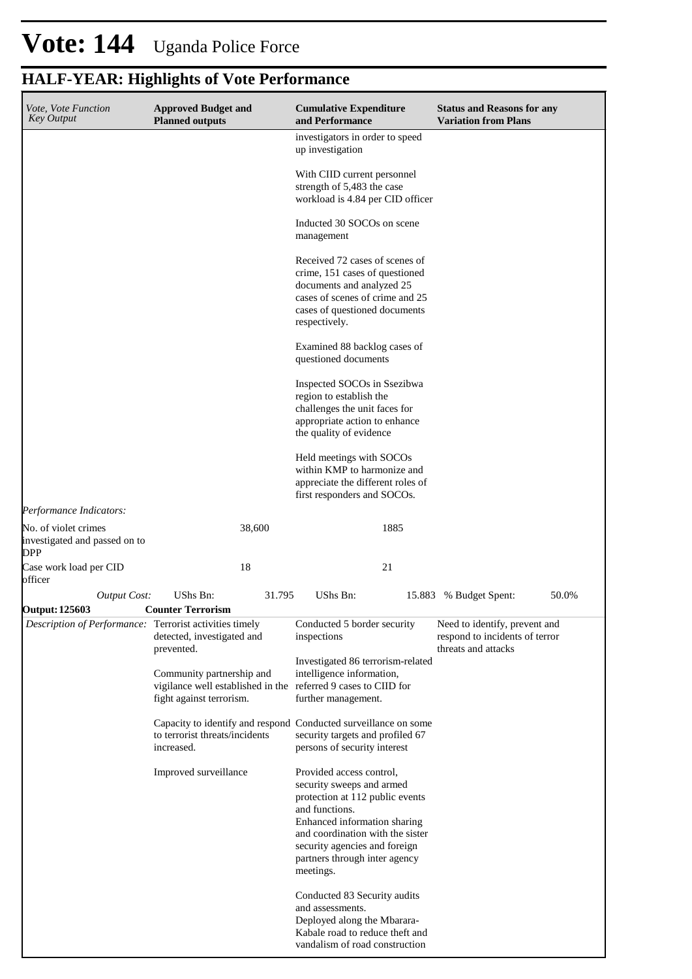| <b>HALF-YEAR: Highlights of Vote Performance</b> |  |  |  |
|--------------------------------------------------|--|--|--|
|--------------------------------------------------|--|--|--|

| <i>Vote, Vote Function</i><br><b>Key Output</b>                     | <b>Approved Budget and</b><br><b>Planned outputs</b>                                                                    | <b>Cumulative Expenditure</b><br>and Performance                                                                                                                                                                                                              | <b>Status and Reasons for any</b><br><b>Variation from Plans</b>                       |
|---------------------------------------------------------------------|-------------------------------------------------------------------------------------------------------------------------|---------------------------------------------------------------------------------------------------------------------------------------------------------------------------------------------------------------------------------------------------------------|----------------------------------------------------------------------------------------|
|                                                                     |                                                                                                                         | investigators in order to speed<br>up investigation                                                                                                                                                                                                           |                                                                                        |
|                                                                     |                                                                                                                         | With CIID current personnel<br>strength of 5,483 the case<br>workload is 4.84 per CID officer                                                                                                                                                                 |                                                                                        |
|                                                                     |                                                                                                                         | Inducted 30 SOCOs on scene<br>management                                                                                                                                                                                                                      |                                                                                        |
|                                                                     |                                                                                                                         | Received 72 cases of scenes of<br>crime, 151 cases of questioned<br>documents and analyzed 25<br>cases of scenes of crime and 25<br>cases of questioned documents<br>respectively.                                                                            |                                                                                        |
|                                                                     |                                                                                                                         | Examined 88 backlog cases of<br>questioned documents                                                                                                                                                                                                          |                                                                                        |
|                                                                     |                                                                                                                         | Inspected SOCOs in Ssezibwa<br>region to establish the<br>challenges the unit faces for<br>appropriate action to enhance<br>the quality of evidence                                                                                                           |                                                                                        |
|                                                                     |                                                                                                                         | Held meetings with SOCOs<br>within KMP to harmonize and<br>appreciate the different roles of<br>first responders and SOCOs.                                                                                                                                   |                                                                                        |
| Performance Indicators:                                             |                                                                                                                         |                                                                                                                                                                                                                                                               |                                                                                        |
| No. of violet crimes<br>investigated and passed on to<br><b>DPP</b> | 38,600                                                                                                                  | 1885                                                                                                                                                                                                                                                          |                                                                                        |
| Case work load per CID<br>officer                                   | 18                                                                                                                      | 21                                                                                                                                                                                                                                                            |                                                                                        |
| <b>Output Cost:</b>                                                 | <b>UShs Bn:</b><br>31.795                                                                                               | UShs Bn:                                                                                                                                                                                                                                                      | 50.0%<br>15.883 % Budget Spent:                                                        |
| <b>Output: 125603</b>                                               | <b>Counter Terrorism</b>                                                                                                |                                                                                                                                                                                                                                                               |                                                                                        |
| Description of Performance: Terrorist activities timely             | detected, investigated and<br>prevented.                                                                                | Conducted 5 border security<br>inspections                                                                                                                                                                                                                    | Need to identify, prevent and<br>respond to incidents of terror<br>threats and attacks |
|                                                                     | Community partnership and<br>vigilance well established in the referred 9 cases to CIID for<br>fight against terrorism. | Investigated 86 terrorism-related<br>intelligence information,<br>further management.                                                                                                                                                                         |                                                                                        |
|                                                                     | to terrorist threats/incidents<br>increased.                                                                            | Capacity to identify and respond Conducted surveillance on some<br>security targets and profiled 67<br>persons of security interest                                                                                                                           |                                                                                        |
|                                                                     | Improved surveillance                                                                                                   | Provided access control,<br>security sweeps and armed<br>protection at 112 public events<br>and functions.<br>Enhanced information sharing<br>and coordination with the sister<br>security agencies and foreign<br>partners through inter agency<br>meetings. |                                                                                        |
|                                                                     |                                                                                                                         | Conducted 83 Security audits<br>and assessments.<br>Deployed along the Mbarara-<br>Kabale road to reduce theft and<br>vandalism of road construction                                                                                                          |                                                                                        |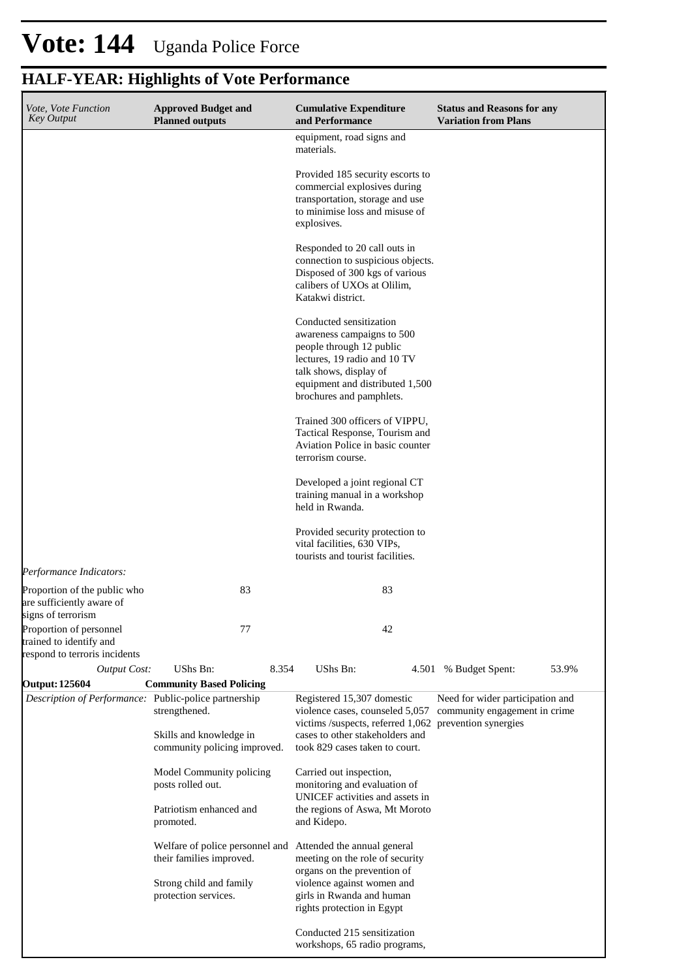| Vote, Vote Function<br><b>Key Output</b>                                                                   | <b>Approved Budget and</b><br><b>Planned outputs</b>                     | <b>Cumulative Expenditure</b><br>and Performance                                                                                                                                                           | <b>Status and Reasons for any</b><br><b>Variation from Plans</b>  |
|------------------------------------------------------------------------------------------------------------|--------------------------------------------------------------------------|------------------------------------------------------------------------------------------------------------------------------------------------------------------------------------------------------------|-------------------------------------------------------------------|
|                                                                                                            |                                                                          | equipment, road signs and<br>materials.                                                                                                                                                                    |                                                                   |
|                                                                                                            |                                                                          | Provided 185 security escorts to<br>commercial explosives during<br>transportation, storage and use<br>to minimise loss and misuse of<br>explosives.                                                       |                                                                   |
|                                                                                                            |                                                                          | Responded to 20 call outs in<br>connection to suspicious objects.<br>Disposed of 300 kgs of various<br>calibers of UXOs at Olilim,<br>Katakwi district.                                                    |                                                                   |
|                                                                                                            |                                                                          | Conducted sensitization<br>awareness campaigns to 500<br>people through 12 public<br>lectures, 19 radio and 10 TV<br>talk shows, display of<br>equipment and distributed 1,500<br>brochures and pamphlets. |                                                                   |
|                                                                                                            |                                                                          | Trained 300 officers of VIPPU,<br>Tactical Response, Tourism and<br>Aviation Police in basic counter<br>terrorism course.                                                                                  |                                                                   |
|                                                                                                            |                                                                          | Developed a joint regional CT<br>training manual in a workshop<br>held in Rwanda.                                                                                                                          |                                                                   |
|                                                                                                            |                                                                          | Provided security protection to<br>vital facilities, 630 VIPs,<br>tourists and tourist facilities.                                                                                                         |                                                                   |
| Performance Indicators:<br>Proportion of the public who<br>are sufficiently aware of<br>signs of terrorism | 83                                                                       | 83                                                                                                                                                                                                         |                                                                   |
| Proportion of personnel<br>trained to identify and<br>respond to terroris incidents                        | 77                                                                       | 42                                                                                                                                                                                                         |                                                                   |
| <b>Output Cost:</b>                                                                                        | UShs Bn:<br>8.354                                                        | UShs Bn:                                                                                                                                                                                                   | 53.9%<br>4.501 % Budget Spent:                                    |
| <b>Output: 125604</b>                                                                                      | <b>Community Based Policing</b>                                          |                                                                                                                                                                                                            |                                                                   |
| Description of Performance: Public-police partnership                                                      | strengthened.<br>Skills and knowledge in<br>community policing improved. | Registered 15,307 domestic<br>violence cases, counseled 5,057<br>victims /suspects, referred 1,062 prevention synergies<br>cases to other stakeholders and<br>took 829 cases taken to court.               | Need for wider participation and<br>community engagement in crime |
|                                                                                                            | Model Community policing<br>posts rolled out.                            | Carried out inspection,<br>monitoring and evaluation of<br>UNICEF activities and assets in                                                                                                                 |                                                                   |
|                                                                                                            | Patriotism enhanced and<br>promoted.                                     | the regions of Aswa, Mt Moroto<br>and Kidepo.                                                                                                                                                              |                                                                   |
|                                                                                                            | Welfare of police personnel and<br>their families improved.              | Attended the annual general<br>meeting on the role of security<br>organs on the prevention of                                                                                                              |                                                                   |
|                                                                                                            | Strong child and family<br>protection services.                          | violence against women and<br>girls in Rwanda and human<br>rights protection in Egypt                                                                                                                      |                                                                   |
|                                                                                                            |                                                                          | Conducted 215 sensitization<br>workshops, 65 radio programs,                                                                                                                                               |                                                                   |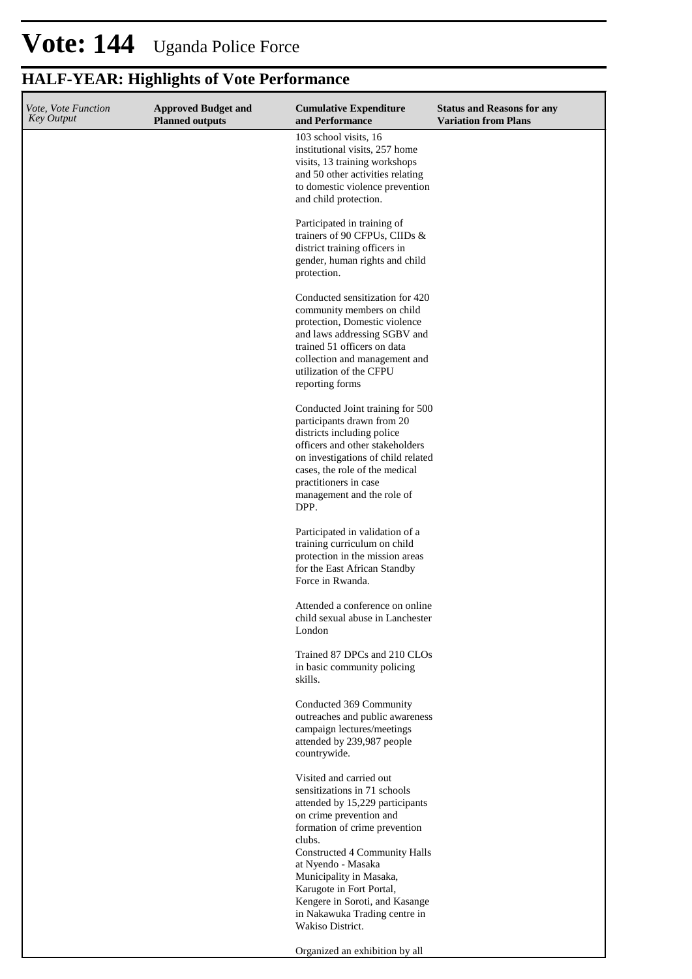| Vote, Vote Function<br><b>Key Output</b> | <b>Approved Budget and</b><br><b>Planned outputs</b> | <b>Cumulative Expenditure</b><br>and Performance                                                                                                                                                                                                                                                                                                                      | <b>Status and Reasons for any</b><br><b>Variation from Plans</b> |
|------------------------------------------|------------------------------------------------------|-----------------------------------------------------------------------------------------------------------------------------------------------------------------------------------------------------------------------------------------------------------------------------------------------------------------------------------------------------------------------|------------------------------------------------------------------|
|                                          |                                                      | 103 school visits, 16<br>institutional visits, 257 home<br>visits, 13 training workshops<br>and 50 other activities relating<br>to domestic violence prevention<br>and child protection.                                                                                                                                                                              |                                                                  |
|                                          |                                                      | Participated in training of<br>trainers of 90 CFPUs, CIIDs &<br>district training officers in<br>gender, human rights and child<br>protection.                                                                                                                                                                                                                        |                                                                  |
|                                          |                                                      | Conducted sensitization for 420<br>community members on child<br>protection, Domestic violence<br>and laws addressing SGBV and<br>trained 51 officers on data<br>collection and management and<br>utilization of the CFPU<br>reporting forms                                                                                                                          |                                                                  |
|                                          |                                                      | Conducted Joint training for 500<br>participants drawn from 20<br>districts including police<br>officers and other stakeholders<br>on investigations of child related<br>cases, the role of the medical<br>practitioners in case<br>management and the role of<br>DPP.                                                                                                |                                                                  |
|                                          |                                                      | Participated in validation of a<br>training curriculum on child<br>protection in the mission areas<br>for the East African Standby<br>Force in Rwanda.                                                                                                                                                                                                                |                                                                  |
|                                          |                                                      | Attended a conference on online<br>child sexual abuse in Lanchester<br>London                                                                                                                                                                                                                                                                                         |                                                                  |
|                                          |                                                      | Trained 87 DPCs and 210 CLOs<br>in basic community policing<br>skills.                                                                                                                                                                                                                                                                                                |                                                                  |
|                                          |                                                      | Conducted 369 Community<br>outreaches and public awareness<br>campaign lectures/meetings<br>attended by 239,987 people<br>countrywide.                                                                                                                                                                                                                                |                                                                  |
|                                          |                                                      | Visited and carried out<br>sensitizations in 71 schools<br>attended by 15,229 participants<br>on crime prevention and<br>formation of crime prevention<br>clubs.<br>Constructed 4 Community Halls<br>at Nyendo - Masaka<br>Municipality in Masaka,<br>Karugote in Fort Portal,<br>Kengere in Soroti, and Kasange<br>in Nakawuka Trading centre in<br>Wakiso District. |                                                                  |
|                                          |                                                      | Organized an exhibition by all                                                                                                                                                                                                                                                                                                                                        |                                                                  |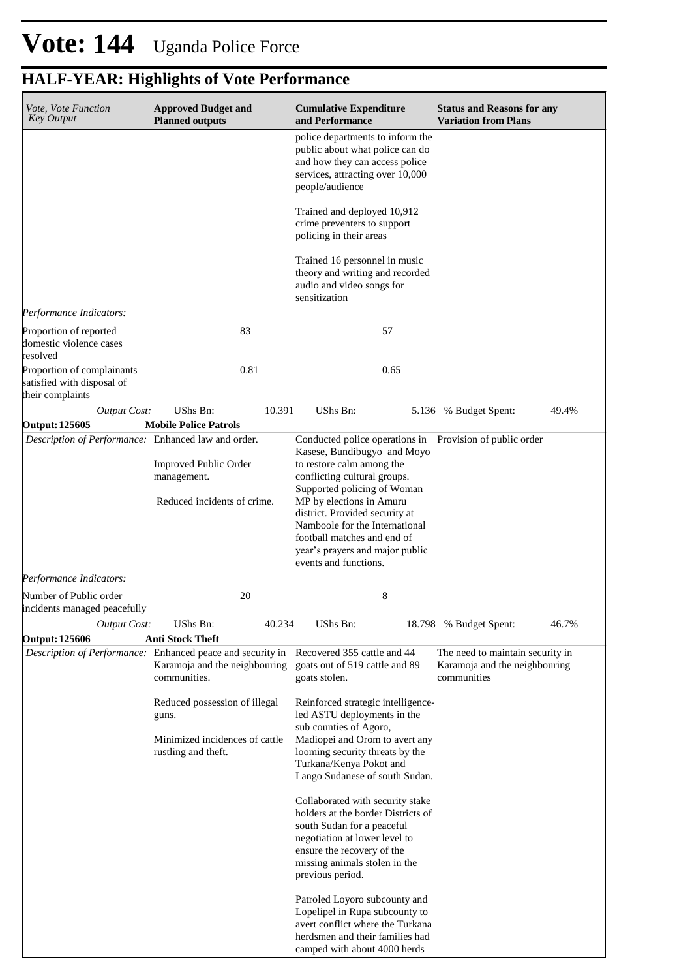| Vote, Vote Function                                                                                             | <b>Approved Budget and</b>                            |        | <b>Cumulative Expenditure</b>                                                                                            | <b>Status and Reasons for any</b>            |       |
|-----------------------------------------------------------------------------------------------------------------|-------------------------------------------------------|--------|--------------------------------------------------------------------------------------------------------------------------|----------------------------------------------|-------|
| <b>Key Output</b>                                                                                               | <b>Planned outputs</b>                                |        | and Performance<br>police departments to inform the<br>public about what police can do<br>and how they can access police | <b>Variation from Plans</b>                  |       |
|                                                                                                                 |                                                       |        | services, attracting over 10,000<br>people/audience                                                                      |                                              |       |
|                                                                                                                 |                                                       |        | Trained and deployed 10,912<br>crime preventers to support<br>policing in their areas                                    |                                              |       |
|                                                                                                                 |                                                       |        | Trained 16 personnel in music<br>theory and writing and recorded<br>audio and video songs for<br>sensitization           |                                              |       |
| Performance Indicators:                                                                                         |                                                       |        |                                                                                                                          |                                              |       |
| Proportion of reported<br>domestic violence cases<br>resolved                                                   | 83                                                    |        | 57                                                                                                                       |                                              |       |
| Proportion of complainants<br>satisfied with disposal of<br>their complaints                                    | 0.81                                                  |        | 0.65                                                                                                                     |                                              |       |
| <b>Output Cost:</b><br><b>Output: 125605</b>                                                                    | <b>UShs Bn:</b><br><b>Mobile Police Patrols</b>       | 10.391 | UShs Bn:                                                                                                                 | 5.136 % Budget Spent:                        | 49.4% |
| Description of Performance: Enhanced law and order.                                                             |                                                       |        | Conducted police operations in Provision of public order<br>Kasese, Bundibugyo and Moyo                                  |                                              |       |
|                                                                                                                 | <b>Improved Public Order</b><br>management.           |        | to restore calm among the<br>conflicting cultural groups.<br>Supported policing of Woman                                 |                                              |       |
|                                                                                                                 | Reduced incidents of crime.                           |        | MP by elections in Amuru<br>district. Provided security at<br>Namboole for the International                             |                                              |       |
|                                                                                                                 |                                                       |        | football matches and end of<br>year's prayers and major public<br>events and functions.                                  |                                              |       |
| Performance Indicators:                                                                                         |                                                       |        |                                                                                                                          |                                              |       |
| Number of Public order<br>incidents managed peacefully                                                          | 20                                                    |        | 8                                                                                                                        |                                              |       |
| <b>Output Cost:</b>                                                                                             | UShs Bn:                                              | 40.234 | UShs Bn:                                                                                                                 | 18.798 % Budget Spent:                       | 46.7% |
| <b>Output: 125606</b><br>Description of Performance: Enhanced peace and security in Recovered 355 cattle and 44 | <b>Anti Stock Theft</b>                               |        |                                                                                                                          | The need to maintain security in             |       |
|                                                                                                                 | Karamoja and the neighbouring<br>communities.         |        | goats out of 519 cattle and 89<br>goats stolen.                                                                          | Karamoja and the neighbouring<br>communities |       |
|                                                                                                                 | Reduced possession of illegal<br>guns.                |        | Reinforced strategic intelligence-<br>led ASTU deployments in the                                                        |                                              |       |
|                                                                                                                 | Minimized incidences of cattle<br>rustling and theft. |        | sub counties of Agoro,<br>Madiopei and Orom to avert any<br>looming security threats by the<br>Turkana/Kenya Pokot and   |                                              |       |
|                                                                                                                 |                                                       |        | Lango Sudanese of south Sudan.                                                                                           |                                              |       |
|                                                                                                                 |                                                       |        | Collaborated with security stake<br>holders at the border Districts of                                                   |                                              |       |
|                                                                                                                 |                                                       |        | south Sudan for a peaceful<br>negotiation at lower level to                                                              |                                              |       |
|                                                                                                                 |                                                       |        | ensure the recovery of the                                                                                               |                                              |       |
|                                                                                                                 |                                                       |        | missing animals stolen in the<br>previous period.                                                                        |                                              |       |
|                                                                                                                 |                                                       |        | Patroled Loyoro subcounty and<br>Lopelipel in Rupa subcounty to<br>avert conflict where the Turkana                      |                                              |       |
|                                                                                                                 |                                                       |        | herdsmen and their families had<br>camped with about 4000 herds                                                          |                                              |       |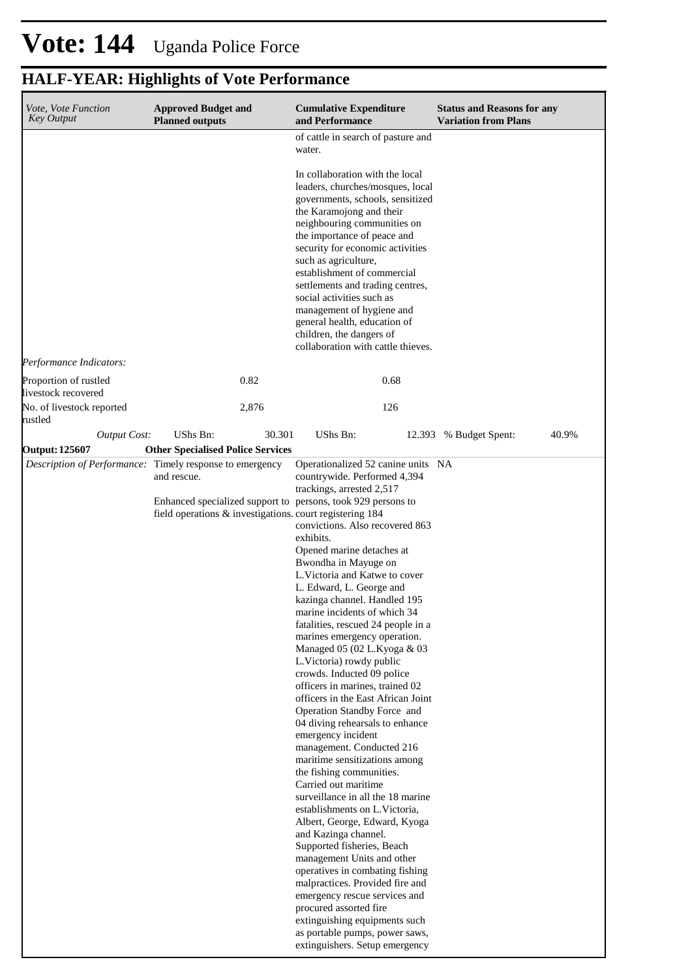| Vote, Vote Function<br><b>Key Output</b>     | <b>Approved Budget and</b><br><b>Planned outputs</b>                                                                     | <b>Cumulative Expenditure</b><br>and Performance                                                                                                                                                                                                                                                                                                                                                                                                                                                                                                                                                                                                                                                                                                                                                                                                                                                          | <b>Status and Reasons for any</b><br><b>Variation from Plans</b> |
|----------------------------------------------|--------------------------------------------------------------------------------------------------------------------------|-----------------------------------------------------------------------------------------------------------------------------------------------------------------------------------------------------------------------------------------------------------------------------------------------------------------------------------------------------------------------------------------------------------------------------------------------------------------------------------------------------------------------------------------------------------------------------------------------------------------------------------------------------------------------------------------------------------------------------------------------------------------------------------------------------------------------------------------------------------------------------------------------------------|------------------------------------------------------------------|
|                                              |                                                                                                                          | of cattle in search of pasture and<br>water.                                                                                                                                                                                                                                                                                                                                                                                                                                                                                                                                                                                                                                                                                                                                                                                                                                                              |                                                                  |
|                                              |                                                                                                                          | In collaboration with the local<br>leaders, churches/mosques, local<br>governments, schools, sensitized<br>the Karamojong and their<br>neighbouring communities on<br>the importance of peace and<br>security for economic activities<br>such as agriculture,<br>establishment of commercial<br>settlements and trading centres,<br>social activities such as<br>management of hygiene and<br>general health, education of<br>children, the dangers of<br>collaboration with cattle thieves.                                                                                                                                                                                                                                                                                                                                                                                                              |                                                                  |
| Performance Indicators:                      |                                                                                                                          |                                                                                                                                                                                                                                                                                                                                                                                                                                                                                                                                                                                                                                                                                                                                                                                                                                                                                                           |                                                                  |
| Proportion of rustled<br>livestock recovered | 0.82                                                                                                                     | 0.68                                                                                                                                                                                                                                                                                                                                                                                                                                                                                                                                                                                                                                                                                                                                                                                                                                                                                                      |                                                                  |
| No. of livestock reported<br>rustled         | 2,876                                                                                                                    | 126                                                                                                                                                                                                                                                                                                                                                                                                                                                                                                                                                                                                                                                                                                                                                                                                                                                                                                       |                                                                  |
| <b>Output Cost:</b>                          | UShs Bn:<br>30.301                                                                                                       | UShs Bn:                                                                                                                                                                                                                                                                                                                                                                                                                                                                                                                                                                                                                                                                                                                                                                                                                                                                                                  | 40.9%<br>12.393 % Budget Spent:                                  |
| <b>Output: 125607</b>                        | <b>Other Specialised Police Services</b>                                                                                 |                                                                                                                                                                                                                                                                                                                                                                                                                                                                                                                                                                                                                                                                                                                                                                                                                                                                                                           |                                                                  |
|                                              | Description of Performance: Timely response to emergency<br>and rescue.                                                  | Operationalized 52 canine units NA<br>countrywide. Performed 4,394                                                                                                                                                                                                                                                                                                                                                                                                                                                                                                                                                                                                                                                                                                                                                                                                                                        |                                                                  |
|                                              | Enhanced specialized support to persons, took 929 persons to<br>field operations & investigations. court registering 184 | trackings, arrested 2,517<br>convictions. Also recovered 863<br>exhibits.<br>Opened marine detaches at<br>Bwondha in Mayuge on<br>L.Victoria and Katwe to cover<br>L. Edward, L. George and<br>kazinga channel. Handled 195<br>marine incidents of which 34<br>fatalities, rescued 24 people in a<br>marines emergency operation.<br>Managed 05 (02 L.Kyoga & 03<br>L.Victoria) rowdy public<br>crowds. Inducted 09 police<br>officers in marines, trained 02<br>officers in the East African Joint<br>Operation Standby Force and<br>04 diving rehearsals to enhance<br>emergency incident<br>management. Conducted 216<br>maritime sensitizations among<br>the fishing communities.<br>Carried out maritime<br>surveillance in all the 18 marine<br>establishments on L. Victoria,<br>Albert, George, Edward, Kyoga<br>and Kazinga channel.<br>Supported fisheries, Beach<br>management Units and other |                                                                  |
|                                              |                                                                                                                          | operatives in combating fishing<br>malpractices. Provided fire and<br>emergency rescue services and<br>procured assorted fire<br>extinguishing equipments such<br>as portable pumps, power saws,<br>extinguishers. Setup emergency                                                                                                                                                                                                                                                                                                                                                                                                                                                                                                                                                                                                                                                                        |                                                                  |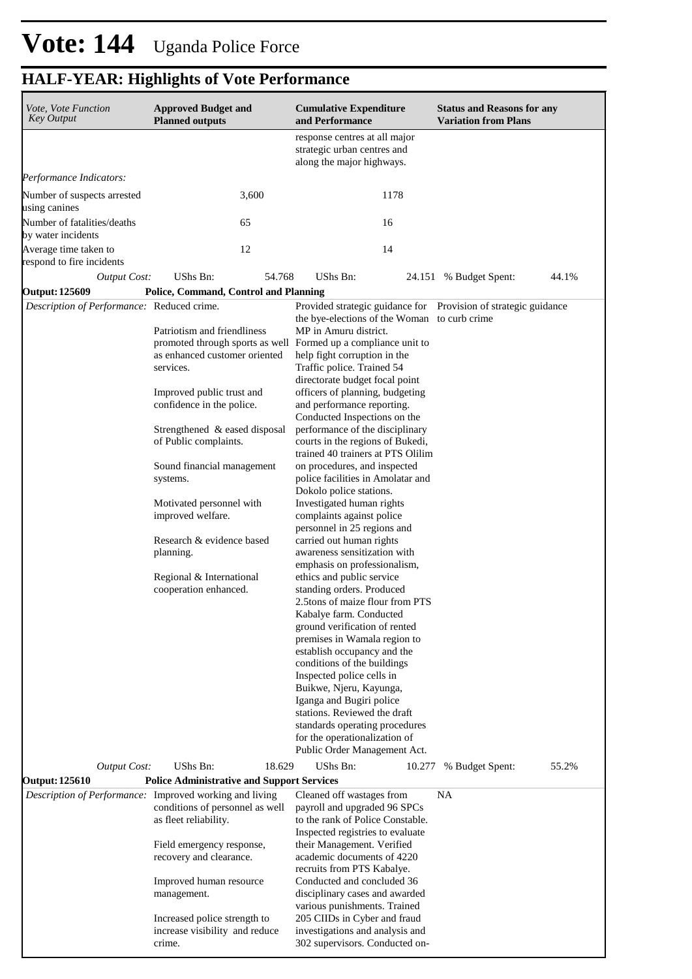| Vote, Vote Function<br><b>Key Output</b>           | <b>Approved Budget and</b><br><b>Planned outputs</b>                                          | <b>Cumulative Expenditure</b><br>and Performance                                                                | <b>Status and Reasons for any</b><br><b>Variation from Plans</b> |
|----------------------------------------------------|-----------------------------------------------------------------------------------------------|-----------------------------------------------------------------------------------------------------------------|------------------------------------------------------------------|
|                                                    |                                                                                               | response centres at all major<br>strategic urban centres and<br>along the major highways.                       |                                                                  |
| Performance Indicators:                            |                                                                                               |                                                                                                                 |                                                                  |
| Number of suspects arrested<br>using canines       | 3,600                                                                                         | 1178                                                                                                            |                                                                  |
| Number of fatalities/deaths<br>by water incidents  | 65                                                                                            | 16                                                                                                              |                                                                  |
| Average time taken to<br>respond to fire incidents | 12                                                                                            | 14                                                                                                              |                                                                  |
| <b>Output Cost:</b>                                | 54.768<br>UShs Bn:                                                                            | UShs Bn:                                                                                                        | 44.1%<br>24.151 % Budget Spent:                                  |
| <b>Output: 125609</b>                              | Police, Command, Control and Planning                                                         |                                                                                                                 |                                                                  |
| Description of Performance: Reduced crime.         |                                                                                               | Provided strategic guidance for Provision of strategic guidance<br>the bye-elections of the Woman to curb crime |                                                                  |
|                                                    | Patriotism and friendliness<br>promoted through sports as well Formed up a compliance unit to | MP in Amuru district.                                                                                           |                                                                  |
|                                                    | as enhanced customer oriented<br>services.                                                    | help fight corruption in the<br>Traffic police. Trained 54                                                      |                                                                  |
|                                                    |                                                                                               | directorate budget focal point                                                                                  |                                                                  |
|                                                    | Improved public trust and<br>confidence in the police.                                        | officers of planning, budgeting<br>and performance reporting.<br>Conducted Inspections on the                   |                                                                  |
|                                                    | Strengthened & eased disposal                                                                 | performance of the disciplinary                                                                                 |                                                                  |
|                                                    | of Public complaints.                                                                         | courts in the regions of Bukedi,<br>trained 40 trainers at PTS Olilim                                           |                                                                  |
|                                                    | Sound financial management<br>systems.                                                        | on procedures, and inspected<br>police facilities in Amolatar and                                               |                                                                  |
|                                                    | Motivated personnel with                                                                      | Dokolo police stations.<br>Investigated human rights                                                            |                                                                  |
|                                                    | improved welfare.                                                                             | complaints against police<br>personnel in 25 regions and                                                        |                                                                  |
|                                                    | Research & evidence based                                                                     | carried out human rights                                                                                        |                                                                  |
|                                                    | planning.                                                                                     | awareness sensitization with<br>emphasis on professionalism,                                                    |                                                                  |
|                                                    | Regional & International                                                                      | ethics and public service                                                                                       |                                                                  |
|                                                    | cooperation enhanced.                                                                         | standing orders. Produced                                                                                       |                                                                  |
|                                                    |                                                                                               | 2.5tons of maize flour from PTS<br>Kabalye farm. Conducted                                                      |                                                                  |
|                                                    |                                                                                               | ground verification of rented                                                                                   |                                                                  |
|                                                    |                                                                                               | premises in Wamala region to                                                                                    |                                                                  |
|                                                    |                                                                                               | establish occupancy and the<br>conditions of the buildings                                                      |                                                                  |
|                                                    |                                                                                               | Inspected police cells in                                                                                       |                                                                  |
|                                                    |                                                                                               | Buikwe, Njeru, Kayunga,                                                                                         |                                                                  |
|                                                    |                                                                                               | Iganga and Bugiri police<br>stations. Reviewed the draft                                                        |                                                                  |
|                                                    |                                                                                               | standards operating procedures                                                                                  |                                                                  |
|                                                    |                                                                                               | for the operationalization of<br>Public Order Management Act.                                                   |                                                                  |
| <b>Output Cost:</b>                                | <b>UShs Bn:</b><br>18.629                                                                     | UShs Bn:<br>10.277                                                                                              | 55.2%<br>% Budget Spent:                                         |
| <b>Output: 125610</b>                              | <b>Police Administrative and Support Services</b>                                             |                                                                                                                 |                                                                  |
|                                                    | Description of Performance: Improved working and living                                       | Cleaned off wastages from                                                                                       | <b>NA</b>                                                        |
|                                                    | conditions of personnel as well<br>as fleet reliability.                                      | payroll and upgraded 96 SPCs<br>to the rank of Police Constable.                                                |                                                                  |
|                                                    | Field emergency response,                                                                     | Inspected registries to evaluate<br>their Management. Verified                                                  |                                                                  |
|                                                    | recovery and clearance.                                                                       | academic documents of 4220                                                                                      |                                                                  |
|                                                    |                                                                                               | recruits from PTS Kabalye.                                                                                      |                                                                  |
|                                                    | Improved human resource<br>management.                                                        | Conducted and concluded 36<br>disciplinary cases and awarded                                                    |                                                                  |
|                                                    |                                                                                               | various punishments. Trained                                                                                    |                                                                  |
|                                                    | Increased police strength to<br>increase visibility and reduce                                | 205 CIIDs in Cyber and fraud<br>investigations and analysis and                                                 |                                                                  |
|                                                    | crime.                                                                                        | 302 supervisors. Conducted on-                                                                                  |                                                                  |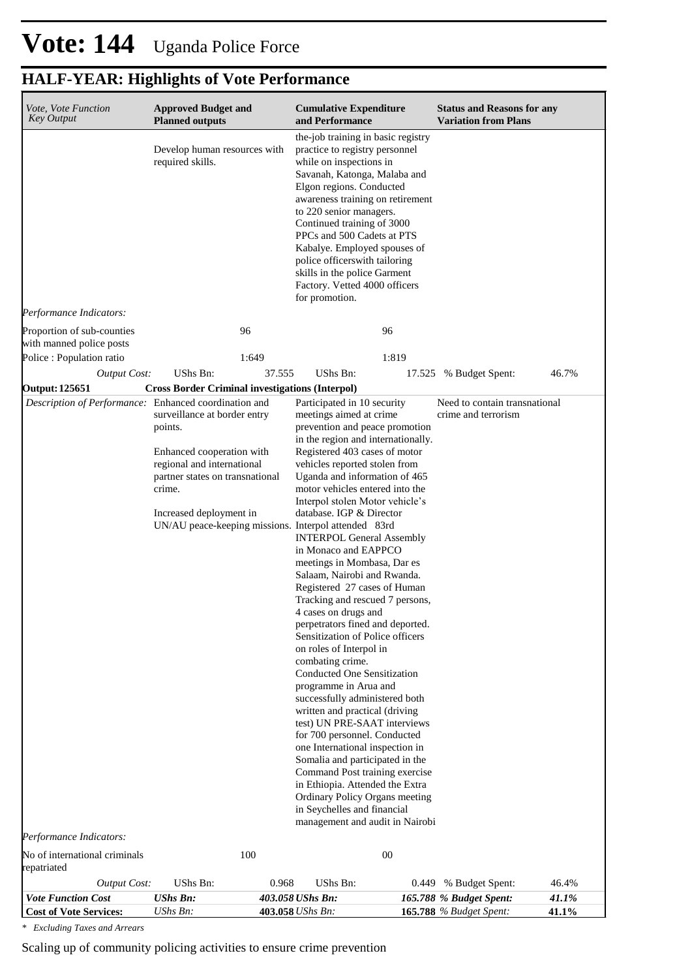| Vote, Vote Function<br><b>Key Output</b>               | <b>Approved Budget and</b><br><b>Planned outputs</b>                                                                                                                                                                               | <b>Cumulative Expenditure</b><br>and Performance                                                                                                                                                                                                                                                                                                                                                                                                                                                                                                                                                                                                                                                                                                                                                                                                                                                                                                                                                                                                                                                                                  | <b>Status and Reasons for any</b><br><b>Variation from Plans</b> |                |
|--------------------------------------------------------|------------------------------------------------------------------------------------------------------------------------------------------------------------------------------------------------------------------------------------|-----------------------------------------------------------------------------------------------------------------------------------------------------------------------------------------------------------------------------------------------------------------------------------------------------------------------------------------------------------------------------------------------------------------------------------------------------------------------------------------------------------------------------------------------------------------------------------------------------------------------------------------------------------------------------------------------------------------------------------------------------------------------------------------------------------------------------------------------------------------------------------------------------------------------------------------------------------------------------------------------------------------------------------------------------------------------------------------------------------------------------------|------------------------------------------------------------------|----------------|
|                                                        | Develop human resources with<br>required skills.                                                                                                                                                                                   | the-job training in basic registry<br>practice to registry personnel<br>while on inspections in<br>Savanah, Katonga, Malaba and<br>Elgon regions. Conducted<br>awareness training on retirement<br>to 220 senior managers.<br>Continued training of 3000<br>PPCs and 500 Cadets at PTS<br>Kabalye. Employed spouses of<br>police officers with tailoring<br>skills in the police Garment<br>Factory. Vetted 4000 officers<br>for promotion.                                                                                                                                                                                                                                                                                                                                                                                                                                                                                                                                                                                                                                                                                       |                                                                  |                |
| Performance Indicators:                                |                                                                                                                                                                                                                                    |                                                                                                                                                                                                                                                                                                                                                                                                                                                                                                                                                                                                                                                                                                                                                                                                                                                                                                                                                                                                                                                                                                                                   |                                                                  |                |
| Proportion of sub-counties<br>with manned police posts | 96                                                                                                                                                                                                                                 | 96                                                                                                                                                                                                                                                                                                                                                                                                                                                                                                                                                                                                                                                                                                                                                                                                                                                                                                                                                                                                                                                                                                                                |                                                                  |                |
| Police : Population ratio                              | 1:649                                                                                                                                                                                                                              | 1:819                                                                                                                                                                                                                                                                                                                                                                                                                                                                                                                                                                                                                                                                                                                                                                                                                                                                                                                                                                                                                                                                                                                             |                                                                  |                |
| <b>Output Cost:</b>                                    | UShs Bn:<br>37.555                                                                                                                                                                                                                 | UShs Bn:                                                                                                                                                                                                                                                                                                                                                                                                                                                                                                                                                                                                                                                                                                                                                                                                                                                                                                                                                                                                                                                                                                                          | 17.525 % Budget Spent:                                           | 46.7%          |
| <b>Output: 125651</b>                                  | <b>Cross Border Criminal investigations (Interpol)</b>                                                                                                                                                                             |                                                                                                                                                                                                                                                                                                                                                                                                                                                                                                                                                                                                                                                                                                                                                                                                                                                                                                                                                                                                                                                                                                                                   |                                                                  |                |
| Description of Performance: Enhanced coordination and  | surveillance at border entry<br>points.<br>Enhanced cooperation with<br>regional and international<br>partner states on transnational<br>crime.<br>Increased deployment in<br>UN/AU peace-keeping missions. Interpol attended 83rd | Participated in 10 security<br>meetings aimed at crime<br>prevention and peace promotion<br>in the region and internationally.<br>Registered 403 cases of motor<br>vehicles reported stolen from<br>Uganda and information of 465<br>motor vehicles entered into the<br>Interpol stolen Motor vehicle's<br>database. IGP & Director<br><b>INTERPOL General Assembly</b><br>in Monaco and EAPPCO<br>meetings in Mombasa, Dar es<br>Salaam, Nairobi and Rwanda.<br>Registered 27 cases of Human<br>Tracking and rescued 7 persons,<br>4 cases on drugs and<br>perpetrators fined and deported.<br>Sensitization of Police officers<br>on roles of Interpol in<br>combating crime.<br><b>Conducted One Sensitization</b><br>programme in Arua and<br>successfully administered both<br>written and practical (driving<br>test) UN PRE-SAAT interviews<br>for 700 personnel. Conducted<br>one International inspection in<br>Somalia and participated in the<br>Command Post training exercise<br>in Ethiopia. Attended the Extra<br>Ordinary Policy Organs meeting<br>in Seychelles and financial<br>management and audit in Nairobi | Need to contain transnational<br>crime and terrorism             |                |
| Performance Indicators:                                |                                                                                                                                                                                                                                    |                                                                                                                                                                                                                                                                                                                                                                                                                                                                                                                                                                                                                                                                                                                                                                                                                                                                                                                                                                                                                                                                                                                                   |                                                                  |                |
| No of international criminals<br>repatriated           | 100                                                                                                                                                                                                                                | 00                                                                                                                                                                                                                                                                                                                                                                                                                                                                                                                                                                                                                                                                                                                                                                                                                                                                                                                                                                                                                                                                                                                                |                                                                  |                |
| <b>Output Cost:</b><br><b>Vote Function Cost</b>       | UShs Bn:<br>0.968<br><b>UShs Bn:</b>                                                                                                                                                                                               | UShs Bn:<br>0.449<br>403.058 UShs Bn:                                                                                                                                                                                                                                                                                                                                                                                                                                                                                                                                                                                                                                                                                                                                                                                                                                                                                                                                                                                                                                                                                             | % Budget Spent:<br>165.788 % Budget Spent:                       | 46.4%<br>41.1% |
| <b>Cost of Vote Services:</b>                          | UShs Bn:                                                                                                                                                                                                                           | 403.058 UShs Bn:                                                                                                                                                                                                                                                                                                                                                                                                                                                                                                                                                                                                                                                                                                                                                                                                                                                                                                                                                                                                                                                                                                                  | <b>165.788</b> % Budget Spent:                                   | 41.1%          |

*\* Excluding Taxes and Arrears*

Scaling up of community policing activities to ensure crime prevention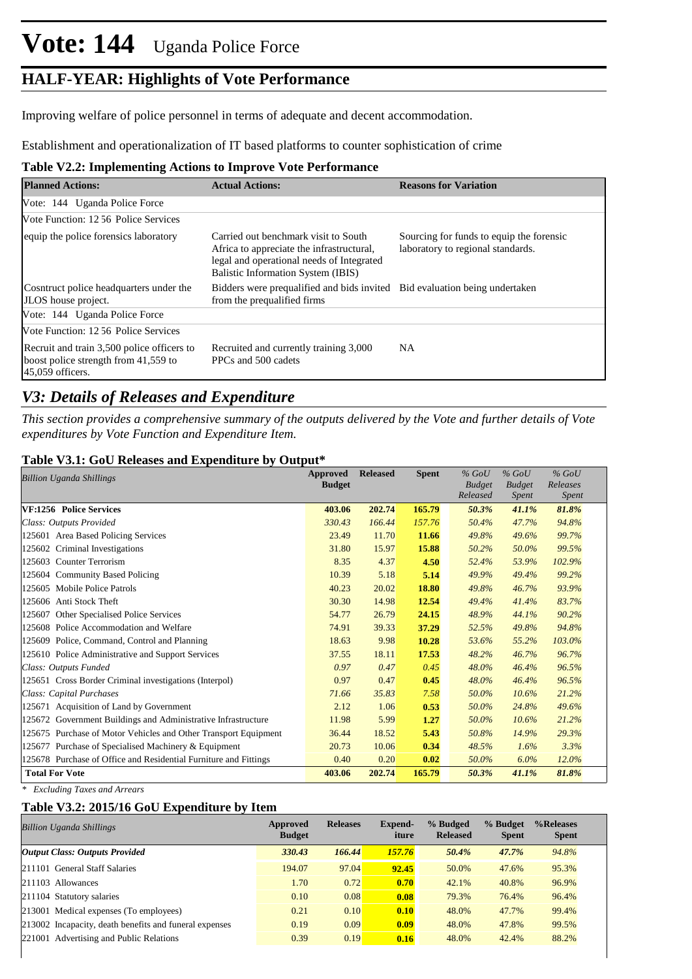# **Vote: 144** Uganda Police Force

### **HALF-YEAR: Highlights of Vote Performance**

Improving welfare of police personnel in terms of adequate and decent accommodation.

Establishment and operationalization of IT based platforms to counter sophistication of crime

### **Table V2.2: Implementing Actions to Improve Vote Performance**

| <b>Planned Actions:</b>                                                                                | <b>Actual Actions:</b>                                                                                                                                                      | <b>Reasons for Variation</b>                                                  |
|--------------------------------------------------------------------------------------------------------|-----------------------------------------------------------------------------------------------------------------------------------------------------------------------------|-------------------------------------------------------------------------------|
| Vote: 144 Uganda Police Force                                                                          |                                                                                                                                                                             |                                                                               |
| Vote Function: 12.56 Police Services                                                                   |                                                                                                                                                                             |                                                                               |
| equip the police forensics laboratory                                                                  | Carried out benchmark visit to South<br>Africa to appreciate the infrastructural,<br>legal and operational needs of Integrated<br><b>Balistic Information System (IBIS)</b> | Sourcing for funds to equip the forensic<br>laboratory to regional standards. |
| Cosntruct police headquarters under the<br>JLOS house project.                                         | Bidders were prequalified and bids invited Bid evaluation being undertaken<br>from the prequalified firms                                                                   |                                                                               |
| Vote: 144 Uganda Police Force                                                                          |                                                                                                                                                                             |                                                                               |
| Vote Function: 12.56 Police Services                                                                   |                                                                                                                                                                             |                                                                               |
| Recruit and train 3,500 police officers to<br>boost police strength from 41,559 to<br>45,059 officers. | Recruited and currently training 3,000<br>PPCs and 500 cadets                                                                                                               | NA                                                                            |

### *V3: Details of Releases and Expenditure*

*This section provides a comprehensive summary of the outputs delivered by the Vote and further details of Vote expenditures by Vote Function and Expenditure Item.*

#### **Table V3.1: GoU Releases and Expenditure by Output\***

| <b>Billion Uganda Shillings</b>                                  | Approved<br><b>Budget</b> | <b>Released</b> | <b>Spent</b> | $%$ GoU<br><b>Budget</b><br>Released | $%$ GoU<br><b>Budget</b><br><i>Spent</i> | $%$ GoU<br>Releases<br><i>Spent</i> |
|------------------------------------------------------------------|---------------------------|-----------------|--------------|--------------------------------------|------------------------------------------|-------------------------------------|
| VF:1256 Police Services                                          | 403.06                    | 202.74          | 165.79       | 50.3%                                | 41.1%                                    | 81.8%                               |
| Class: Outputs Provided                                          | 330.43                    | 166.44          | 157.76       | 50.4%                                | 47.7%                                    | 94.8%                               |
| 125601 Area Based Policing Services                              | 23.49                     | 11.70           | 11.66        | 49.8%                                | 49.6%                                    | 99.7%                               |
| 125602 Criminal Investigations                                   | 31.80                     | 15.97           | 15.88        | 50.2%                                | 50.0%                                    | 99.5%                               |
| 125603 Counter Terrorism                                         | 8.35                      | 4.37            | 4.50         | 52.4%                                | 53.9%                                    | 102.9%                              |
| 125604 Community Based Policing                                  | 10.39                     | 5.18            | 5.14         | 49.9%                                | 49.4%                                    | 99.2%                               |
| 125605 Mobile Police Patrols                                     | 40.23                     | 20.02           | 18.80        | 49.8%                                | 46.7%                                    | 93.9%                               |
| 125606 Anti Stock Theft                                          | 30.30                     | 14.98           | 12.54        | 49.4%                                | 41.4%                                    | 83.7%                               |
| Other Specialised Police Services<br>125607                      | 54.77                     | 26.79           | 24.15        | 48.9%                                | 44.1%                                    | 90.2%                               |
| 125608 Police Accommodation and Welfare                          | 74.91                     | 39.33           | 37.29        | 52.5%                                | 49.8%                                    | 94.8%                               |
| 125609 Police, Command, Control and Planning                     | 18.63                     | 9.98            | 10.28        | 53.6%                                | 55.2%                                    | 103.0%                              |
| 125610 Police Administrative and Support Services                | 37.55                     | 18.11           | 17.53        | 48.2%                                | 46.7%                                    | 96.7%                               |
| Class: Outputs Funded                                            | 0.97                      | 0.47            | 0.45         | 48.0%                                | 46.4%                                    | 96.5%                               |
| 125651 Cross Border Criminal investigations (Interpol)           | 0.97                      | 0.47            | 0.45         | 48.0%                                | 46.4%                                    | 96.5%                               |
| Class: Capital Purchases                                         | 71.66                     | 35.83           | 7.58         | 50.0%                                | 10.6%                                    | 21.2%                               |
| 125671 Acquisition of Land by Government                         | 2.12                      | 1.06            | 0.53         | 50.0%                                | 24.8%                                    | 49.6%                               |
| 125672 Government Buildings and Administrative Infrastructure    | 11.98                     | 5.99            | 1.27         | 50.0%                                | 10.6%                                    | 21.2%                               |
| 125675 Purchase of Motor Vehicles and Other Transport Equipment  | 36.44                     | 18.52           | 5.43         | 50.8%                                | 14.9%                                    | 29.3%                               |
| 125677 Purchase of Specialised Machinery & Equipment             | 20.73                     | 10.06           | 0.34         | 48.5%                                | 1.6%                                     | 3.3%                                |
| 125678 Purchase of Office and Residential Furniture and Fittings | 0.40                      | 0.20            | 0.02         | 50.0%                                | $6.0\%$                                  | 12.0%                               |
| <b>Total For Vote</b>                                            | 403.06                    | 202.74          | 165.79       | 50.3%                                | 41.1%                                    | 81.8%                               |

*\* Excluding Taxes and Arrears*

### **Table V3.2: 2015/16 GoU Expenditure by Item**

| Billion Uganda Shillings                               | Approved<br><b>Budget</b> | <b>Releases</b> | Expend-<br>iture | % Budged<br><b>Released</b> | % Budget<br><b>Spent</b> | %Releases<br><b>Spent</b> |
|--------------------------------------------------------|---------------------------|-----------------|------------------|-----------------------------|--------------------------|---------------------------|
| <b>Output Class: Outputs Provided</b>                  | 330.43                    | 166.44          | 157.76           | 50.4%                       | 47.7%                    | 94.8%                     |
| 211101 General Staff Salaries                          | 194.07                    | 97.04           | 92.45            | 50.0%                       | 47.6%                    | 95.3%                     |
| 211103 Allowances                                      | 1.70                      | 0.72            | 0.70             | 42.1%                       | 40.8%                    | 96.9%                     |
| 211104 Statutory salaries                              | 0.10                      | 0.08            | 0.08             | 79.3%                       | 76.4%                    | 96.4%                     |
| 213001 Medical expenses (To employees)                 | 0.21                      | 0.10            | 0.10             | 48.0%                       | 47.7%                    | 99.4%                     |
| 213002 Incapacity, death benefits and funeral expenses | 0.19                      | 0.09            | 0.09             | 48.0%                       | 47.8%                    | 99.5%                     |
| 221001 Advertising and Public Relations                | 0.39                      | 0.19            | 0.16             | 48.0%                       | 42.4%                    | 88.2%                     |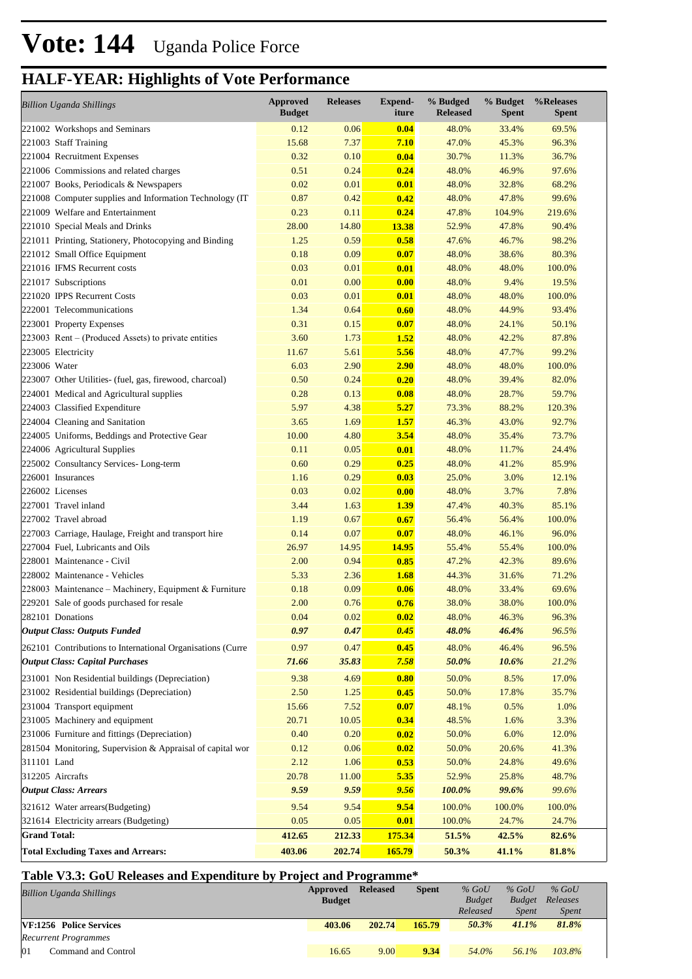| <b>Billion Uganda Shillings</b>                            | Approved<br><b>Budget</b> | <b>Releases</b> | <b>Expend-</b><br>iture | % Budged<br><b>Released</b> | % Budget<br><b>Spent</b> | %Releases<br><b>Spent</b> |
|------------------------------------------------------------|---------------------------|-----------------|-------------------------|-----------------------------|--------------------------|---------------------------|
| 221002 Workshops and Seminars                              | 0.12                      | 0.06            | 0.04                    | 48.0%                       | 33.4%                    | 69.5%                     |
| 221003 Staff Training                                      | 15.68                     | 7.37            | 7.10                    | 47.0%                       | 45.3%                    | 96.3%                     |
| 221004 Recruitment Expenses                                | 0.32                      | 0.10            | 0.04                    | 30.7%                       | 11.3%                    | 36.7%                     |
| 221006 Commissions and related charges                     | 0.51                      | 0.24            | 0.24                    | 48.0%                       | 46.9%                    | 97.6%                     |
| 221007 Books, Periodicals & Newspapers                     | 0.02                      | 0.01            | 0.01                    | 48.0%                       | 32.8%                    | 68.2%                     |
| 221008 Computer supplies and Information Technology (IT)   | 0.87                      | 0.42            | 0.42                    | 48.0%                       | 47.8%                    | 99.6%                     |
| 221009 Welfare and Entertainment                           | 0.23                      | 0.11            | 0.24                    | 47.8%                       | 104.9%                   | 219.6%                    |
| 221010 Special Meals and Drinks                            | 28.00                     | 14.80           | 13.38                   | 52.9%                       | 47.8%                    | 90.4%                     |
| 221011 Printing, Stationery, Photocopying and Binding      | 1.25                      | 0.59            | 0.58                    | 47.6%                       | 46.7%                    | 98.2%                     |
| 221012 Small Office Equipment                              | 0.18                      | 0.09            | 0.07                    | 48.0%                       | 38.6%                    | 80.3%                     |
| 221016 IFMS Recurrent costs                                | 0.03                      | 0.01            | 0.01                    | 48.0%                       | 48.0%                    | 100.0%                    |
| 221017 Subscriptions                                       | 0.01                      | 0.00            | 0.00                    | 48.0%                       | 9.4%                     | 19.5%                     |
| 221020 IPPS Recurrent Costs                                | 0.03                      | 0.01            | 0.01                    | 48.0%                       | 48.0%                    | 100.0%                    |
| 222001 Telecommunications                                  | 1.34                      | 0.64            | 0.60                    | 48.0%                       | 44.9%                    | 93.4%                     |
| 223001 Property Expenses                                   | 0.31                      | 0.15            | 0.07                    | 48.0%                       | 24.1%                    | 50.1%                     |
| 223003 Rent – (Produced Assets) to private entities        | 3.60                      | 1.73            | <b>1.52</b>             | 48.0%                       | 42.2%                    | 87.8%                     |
| 223005 Electricity                                         | 11.67                     | 5.61            | 5.56                    | 48.0%                       | 47.7%                    | 99.2%                     |
| 223006 Water                                               | 6.03                      | 2.90            | 2.90                    | 48.0%                       | 48.0%                    | 100.0%                    |
| 223007 Other Utilities- (fuel, gas, firewood, charcoal)    | 0.50                      | 0.24            | 0.20                    | 48.0%                       | 39.4%                    | 82.0%                     |
| 224001 Medical and Agricultural supplies                   | 0.28                      | 0.13            | 0.08                    | 48.0%                       | 28.7%                    | 59.7%                     |
| 224003 Classified Expenditure                              | 5.97                      | 4.38            | 5.27                    | 73.3%                       | 88.2%                    | 120.3%                    |
| 224004 Cleaning and Sanitation                             | 3.65                      | 1.69            | 1.57                    | 46.3%                       | 43.0%                    | 92.7%                     |
| 224005 Uniforms, Beddings and Protective Gear              | 10.00                     | 4.80            | 3.54                    | 48.0%                       | 35.4%                    | 73.7%                     |
| 224006 Agricultural Supplies                               | 0.11                      | 0.05            | 0.01                    | 48.0%                       | 11.7%                    | 24.4%                     |
| 225002 Consultancy Services-Long-term                      | 0.60                      | 0.29            | 0.25                    | 48.0%                       | 41.2%                    | 85.9%                     |
| 226001 Insurances                                          | 1.16                      | 0.29            | 0.03                    | 25.0%                       | 3.0%                     | 12.1%                     |
| 226002 Licenses                                            | 0.03                      | 0.02            | 0.00                    | 48.0%                       | 3.7%                     | 7.8%                      |
| 227001 Travel inland                                       | 3.44                      | 1.63            | <b>1.39</b>             | 47.4%                       | 40.3%                    | 85.1%                     |
| 227002 Travel abroad                                       | 1.19                      | 0.67            | 0.67                    | 56.4%                       | 56.4%                    | 100.0%                    |
| 227003 Carriage, Haulage, Freight and transport hire       | 0.14                      | 0.07            | 0.07                    | 48.0%                       | 46.1%                    | 96.0%                     |
| 227004 Fuel, Lubricants and Oils                           | 26.97                     | 14.95           | 14.95                   | 55.4%                       | 55.4%                    | 100.0%                    |
| 228001 Maintenance - Civil                                 | 2.00                      | 0.94            | 0.85                    | 47.2%                       | 42.3%                    | 89.6%                     |
| 228002 Maintenance - Vehicles                              | 5.33                      | 2.36            | 1.68                    | 44.3%                       | 31.6%                    | 71.2%                     |
| 228003 Maintenance – Machinery, Equipment & Furniture      | 0.18                      | 0.09            | 0.06                    | 48.0%                       | 33.4%                    | 69.6%                     |
| 229201 Sale of goods purchased for resale                  | 2.00                      | 0.76            | 0.76                    | 38.0%                       | 38.0%                    | 100.0%                    |
| 282101 Donations                                           | 0.04                      | 0.02            | 0.02                    | 48.0%                       | 46.3%                    | 96.3%                     |
| <b>Output Class: Outputs Funded</b>                        | 0.97                      | 0.47            | 0.45                    | 48.0%                       | 46.4%                    | 96.5%                     |
| 262101 Contributions to International Organisations (Curre | 0.97                      | 0.47            | 0.45                    | 48.0%                       | 46.4%                    | 96.5%                     |
| <b>Output Class: Capital Purchases</b>                     | 71.66                     | 35.83           | 7.58                    | 50.0%                       | 10.6%                    | 21.2%                     |
| 231001 Non Residential buildings (Depreciation)            | 9.38                      | 4.69            | 0.80                    | 50.0%                       | 8.5%                     | 17.0%                     |
| 231002 Residential buildings (Depreciation)                | 2.50                      | 1.25            | 0.45                    | 50.0%                       | 17.8%                    | 35.7%                     |
| 231004 Transport equipment                                 | 15.66                     | 7.52            | 0.07                    | 48.1%                       | 0.5%                     | 1.0%                      |
| 231005 Machinery and equipment                             | 20.71                     | 10.05           | 0.34                    | 48.5%                       | 1.6%                     | 3.3%                      |
| 231006 Furniture and fittings (Depreciation)               | 0.40                      | 0.20            | 0.02                    | 50.0%                       | 6.0%                     | 12.0%                     |
| 281504 Monitoring, Supervision & Appraisal of capital wor  | 0.12                      | 0.06            | 0.02                    | 50.0%                       | 20.6%                    | 41.3%                     |
| 311101 Land                                                | 2.12                      | 1.06            | 0.53                    | 50.0%                       | 24.8%                    | 49.6%                     |
| 312205 Aircrafts                                           | 20.78                     | 11.00           | 5.35                    | 52.9%                       | 25.8%                    | 48.7%                     |
| <b>Output Class: Arrears</b>                               | 9.59                      | 9.59            | 9.56                    | 100.0%                      | 99.6%                    | 99.6%                     |
| 321612 Water arrears(Budgeting)                            | 9.54                      | 9.54            | 9.54                    | 100.0%                      | 100.0%                   | 100.0%                    |
| 321614 Electricity arrears (Budgeting)                     | 0.05                      | 0.05            | 0.01                    | 100.0%                      | 24.7%                    | 24.7%                     |
| <b>Grand Total:</b>                                        |                           |                 |                         |                             |                          |                           |
|                                                            | 412.65                    | 212.33          | 175.34                  | 51.5%                       | 42.5%                    | 82.6%                     |
| <b>Total Excluding Taxes and Arrears:</b>                  | 403.06                    | 202.74          | 165.79                  | 50.3%                       | 41.1%                    | 81.8%                     |

#### **Table V3.3: GoU Releases and Expenditure by Project and Programme\***

| <b>Billion Uganda Shillings</b> | Approved<br><b>Budget</b> | <b>Released</b> | <b>Spent</b> | $%$ GoU<br><b>Budget</b> | $%$ GoU<br><b>Budget</b> | $%$ GoU<br>Releases |  |
|---------------------------------|---------------------------|-----------------|--------------|--------------------------|--------------------------|---------------------|--|
|                                 |                           |                 |              | Released                 | <i>Spent</i>             | <i>Spent</i>        |  |
| VF:1256 Police Services         | 403.06                    | 202.74          | 165.79       | 50.3%                    | 41.1%                    | 81.8%               |  |
| Recurrent Programmes            |                           |                 |              |                          |                          |                     |  |
| 01<br>Command and Control       | 16.65                     | 9.00            | 9.34         | 54.0%                    | $56.1\%$                 | 103.8%              |  |